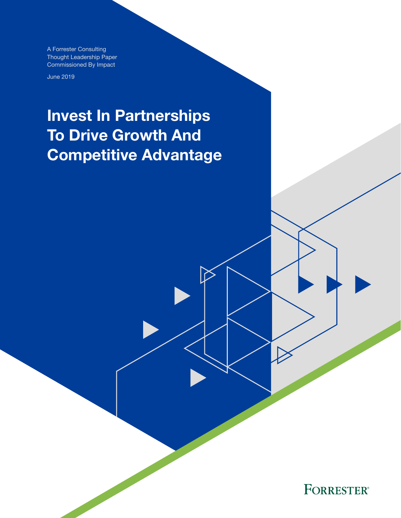A Forrester Consulting Thought Leadership Paper Commissioned By Impact

June 2019

# Invest In Partnerships To Drive Growth And Competitive Advantage

**FORRESTER®**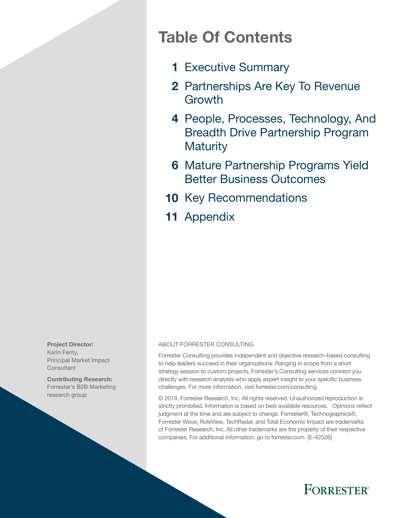## Table Of Contents

- 1 [Executive Summary](#page-2-0)
- 2 Partnerships Are Key To Revenue [Growth](#page-3-0)
- 4 People, Processes, Technology, And [Breadth Drive Partnership Program](#page-6-0)  **Maturity**
- **6 Mature Partnership Programs Yield** [Better Business Outcomes](#page-7-0)
- 10 [Key Recommendations](#page-11-0)
- 11 [Appendix](#page-12-0)

Project Director: Karin Fenty, Principal Market Impact **Consultant** 

Contributing Research: Forrester's B2B Marketing research group

#### ABOUT FORRESTER CONSULTING

Forrester Consulting provides independent and objective research-based consulting to help leaders succeed in their organizations. Ranging in scope from a short strategy session to custom projects, Forrester's Consulting services connect you directly with research analysts who apply expert insight to your specific business challenges. For more information, visit forrester.com/consulting.

© 2019, Forrester Research, Inc. All rights reserved. Unauthorized reproduction is strictly prohibited. Information is based on best available resources. Opinions reflect judgment at the time and are subject to change. Forrester®, Technographics®, Forrester Wave, RoleView, TechRadar, and Total Economic Impact are trademarks of Forrester Research, Inc. All other trademarks are the property of their respective companies. For additional information, go to forrester.com. [E-42526]

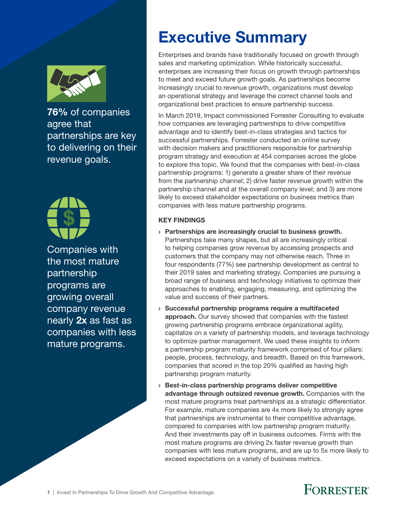<span id="page-2-0"></span>

76% of companies agree that partnerships are key to delivering on their revenue goals.



Companies with the most mature partnership programs are growing overall company revenue nearly 2x as fast as companies with less mature programs.

# Executive Summary

Enterprises and brands have traditionally focused on growth through sales and marketing optimization. While historically successful, enterprises are increasing their focus on growth through partnerships to meet and exceed future growth goals. As partnerships become increasingly crucial to revenue growth, organizations must develop an operational strategy and leverage the correct channel tools and organizational best practices to ensure partnership success.

In March 2019, Impact commissioned Forrester Consulting to evaluate how companies are leveraging partnerships to drive competitive advantage and to identify best-in-class strategies and tactics for successful partnerships. Forrester conducted an online survey with decision makers and practitioners responsible for partnership program strategy and execution at 454 companies across the globe to explore this topic. We found that the companies with best-in-class partnership programs: 1) generate a greater share of their revenue from the partnership channel; 2) drive faster revenue growth within the partnership channel and at the overall company level; and 3) are more likely to exceed stakeholder expectations on business metrics than companies with less mature partnership programs.

#### KEY FINDINGS

- › Partnerships are increasingly crucial to business growth. Partnerships take many shapes, but all are increasingly critical to helping companies grow revenue by accessing prospects and customers that the company may not otherwise reach. Three in four respondents (77%) see partnership development as central to their 2019 sales and marketing strategy. Companies are pursuing a broad range of business and technology initiatives to optimize their approaches to enabling, engaging, measuring, and optimizing the value and success of their partners.
- › Successful partnership programs require a multifaceted approach. Our survey showed that companies with the fastest growing partnership programs embrace organizational agility, capitalize on a variety of partnership models, and leverage technology to optimize partner management. We used these insights to inform a partnership program maturity framework comprised of four pillars: people, process, technology, and breadth. Based on this framework, companies that scored in the top 20% qualified as having high partnership program maturity.
- › Best-in-class partnership programs deliver competitive advantage through outsized revenue growth. Companies with the most mature programs treat partnerships as a strategic differentiator. For example, mature companies are 4x more likely to strongly agree that partnerships are instrumental to their competitive advantage, compared to companies with low partnership program maturity. And their investments pay off in business outcomes. Firms with the most mature programs are driving 2x faster revenue growth than companies with less mature programs, and are up to 5x more likely to exceed expectations on a variety of business metrics.

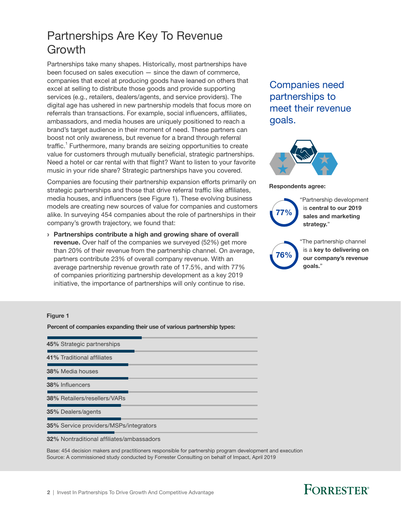### <span id="page-3-0"></span>Partnerships Are Key To Revenue Growth

Partnerships take many shapes. Historically, most partnerships have been focused on sales execution — since the dawn of commerce, companies that excel at producing goods have leaned on others that excel at selling to distribute those goods and provide supporting services (e.g., retailers, dealers/agents, and service providers). The digital age has ushered in new partnership models that focus more on referrals than transactions. For example, social influencers, affiliates, ambassadors, and media houses are uniquely positioned to reach a brand's target audience in their moment of need. These partners can boost not only awareness, but revenue for a brand through referral traffic.<sup>1</sup> Furthermore, many brands are seizing opportunities to create value for customers through mutually beneficial, strategic partnerships. Need a hotel or car rental with that flight? Want to listen to your favorite music in your ride share? Strategic partnerships have you covered.

Companies are focusing their partnership expansion efforts primarily on strategic partnerships and those that drive referral traffic like affiliates, media houses, and influencers (see Figure 1). These evolving business models are creating new sources of value for companies and customers alike. In surveying 454 companies about the role of partnerships in their company's growth trajectory, we found that:

› Partnerships contribute a high and growing share of overall **revenue.** Over half of the companies we surveyed (52%) get more than 20% of their revenue from the partnership channel. On average, partners contribute 23% of overall company revenue. With an average partnership revenue growth rate of 17.5%, and with 77% of companies prioritizing partnership development as a key 2019 initiative, the importance of partnerships will only continue to rise.

### Companies need partnerships to meet their revenue goals.



Respondents agree:



"Partnership development is central to our 2019 sales and marketing strategy."

76%

"The partnership channel is a key to delivering on our company's revenue goals."

#### Figure 1

Percent of companies expanding their use of various partnership types:

| 45% Strategic partnerships                       |
|--------------------------------------------------|
| 41% Traditional affiliates                       |
| <b>38%</b> Media houses                          |
| 38% Influencers                                  |
| <b>38% Retailers/resellers/VARs</b>              |
| <b>35%</b> Dealers/agents                        |
| <b>35%</b> Service providers/MSPs/integrators    |
| <b>32%</b> Nontraditional affiliates/ambassadors |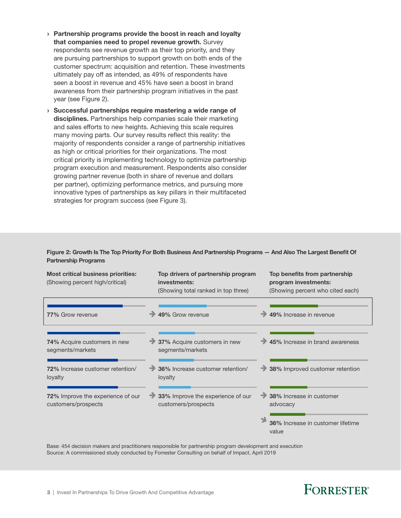- › Partnership programs provide the boost in reach and loyalty that companies need to propel revenue growth. Survey respondents see revenue growth as their top priority, and they are pursuing partnerships to support growth on both ends of the customer spectrum: acquisition and retention. These investments ultimately pay off as intended, as 49% of respondents have seen a boost in revenue and 45% have seen a boost in brand awareness from their partnership program initiatives in the past year (see Figure 2).
- › Successful partnerships require mastering a wide range of disciplines. Partnerships help companies scale their marketing and sales efforts to new heights. Achieving this scale requires many moving parts. Our survey results reflect this reality: the majority of respondents consider a range of partnership initiatives as high or critical priorities for their organizations. The most critical priority is implementing technology to optimize partnership program execution and measurement. Respondents also consider growing partner revenue (both in share of revenue and dollars per partner), optimizing performance metrics, and pursuing more innovative types of partnerships as key pillars in their multifaceted strategies for program success (see Figure 3).

Figure 2: Growth Is The Top Priority For Both Business And Partnership Programs — And Also The Largest Benefit Of Partnership Programs

| <b>Most critical business priorities:</b><br>(Showing percent high/critical) |  | Top drivers of partnership program<br>investments:<br>(Showing total ranked in top three) |  | Top benefits from partnership<br>program investments:<br>(Showing percent who cited each) |  |
|------------------------------------------------------------------------------|--|-------------------------------------------------------------------------------------------|--|-------------------------------------------------------------------------------------------|--|
| <b>77%</b> Grow revenue                                                      |  | 49% Grow revenue                                                                          |  | 49% Increase in revenue                                                                   |  |
| <b>74%</b> Acquire customers in new<br>segments/markets                      |  | 37% Acquire customers in new<br>segments/markets                                          |  | 45% Increase in brand awareness                                                           |  |
| 72% Increase customer retention/<br>loyalty                                  |  | 36% Increase customer retention/<br>loyalty                                               |  | 38% Improved customer retention                                                           |  |
| 72% Improve the experience of our<br>customers/prospects                     |  | 33% Improve the experience of our<br>customers/prospects                                  |  | 38% Increase in customer<br>advocacy                                                      |  |
|                                                                              |  |                                                                                           |  | 36% Increase in customer lifetime<br>value                                                |  |

Base: 454 decision makers and practitioners responsible for partnership program development and execution Source: A commissioned study conducted by Forrester Consulting on behalf of Impact, April 2019

### **FORRESTER®**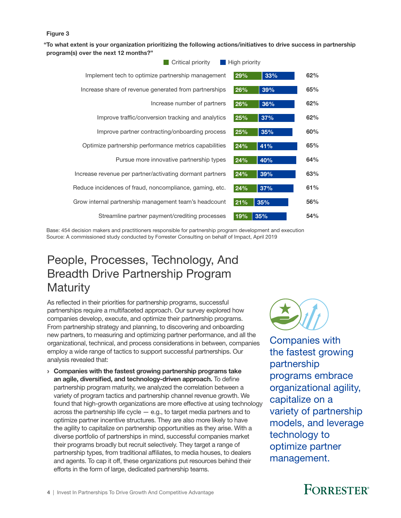#### Figure 3

"To what extent is your organization prioritizing the following actions/initiatives to drive success in partnership program(s) over the next 12 months?"

| Critical priority                                        | High priority |     |     |  |
|----------------------------------------------------------|---------------|-----|-----|--|
| Implement tech to optimize partnership management        | 29%           | 33% | 62% |  |
| Increase share of revenue generated from partnerships    | 26%           | 39% | 65% |  |
| Increase number of partners                              | 26%           | 36% | 62% |  |
| Improve traffic/conversion tracking and analytics        | 25%           | 37% | 62% |  |
| Improve partner contracting/onboarding process           | 25%           | 35% | 60% |  |
| Optimize partnership performance metrics capabilities    | 24%           | 41% | 65% |  |
| Pursue more innovative partnership types                 | 24%           | 40% | 64% |  |
| Increase revenue per partner/activating dormant partners | 24%           | 39% | 63% |  |
| Reduce incidences of fraud, noncompliance, gaming, etc.  | 24%           | 37% | 61% |  |
| Grow internal partnership management team's headcount    | 21%           | 35% | 56% |  |
| Streamline partner payment/crediting processes           | 19%           | 35% | 54% |  |

Base: 454 decision makers and practitioners responsible for partnership program development and execution Source: A commissioned study conducted by Forrester Consulting on behalf of Impact, April 2019

### People, Processes, Technology, And Breadth Drive Partnership Program **Maturity**

As reflected in their priorities for partnership programs, successful partnerships require a multifaceted approach. Our survey explored how companies develop, execute, and optimize their partnership programs. From partnership strategy and planning, to discovering and onboarding new partners, to measuring and optimizing partner performance, and all the organizational, technical, and process considerations in between, companies employ a wide range of tactics to support successful partnerships. Our analysis revealed that:

› Companies with the fastest growing partnership programs take an agile, diversified, and technology-driven approach. To define partnership program maturity, we analyzed the correlation between a variety of program tactics and partnership channel revenue growth. We found that high-growth organizations are more effective at using technology across the partnership life cycle — e.g., to target media partners and to optimize partner incentive structures. They are also more likely to have the agility to capitalize on partnership opportunities as they arise. With a diverse portfolio of partnerships in mind, successful companies market their programs broadly but recruit selectively. They target a range of partnership types, from traditional affiliates, to media houses, to dealers and agents. To cap it off, these organizations put resources behind their efforts in the form of large, dedicated partnership teams.



Companies with the fastest growing partnership programs embrace organizational agility, capitalize on a variety of partnership models, and leverage technology to optimize partner management.

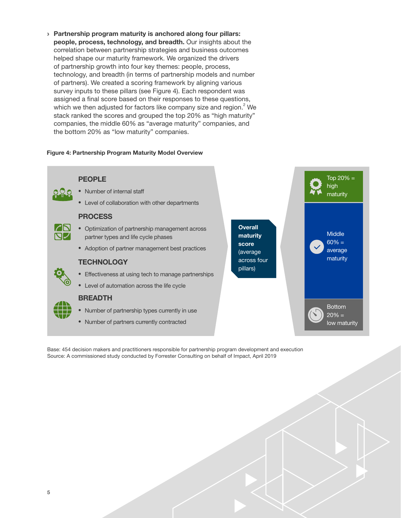<span id="page-6-0"></span>› Partnership program maturity is anchored along four pillars: people, process, technology, and breadth. Our insights about the correlation between partnership strategies and business outcomes helped shape our maturity framework. We organized the drivers of partnership growth into four key themes: people, process, technology, and breadth (in terms of partnership models and number of partners). We created a scoring framework by aligning various survey inputs to these pillars (see Figure 4). Each respondent was assigned a final score based on their responses to these questions, which we then adjusted for factors like company size and region. $2$  We stack ranked the scores and grouped the top 20% as "high maturity" companies, the middle 60% as "average maturity" companies, and the bottom 20% as "low maturity" companies.

#### Figure 4: Partnership Program Maturity Model Overview

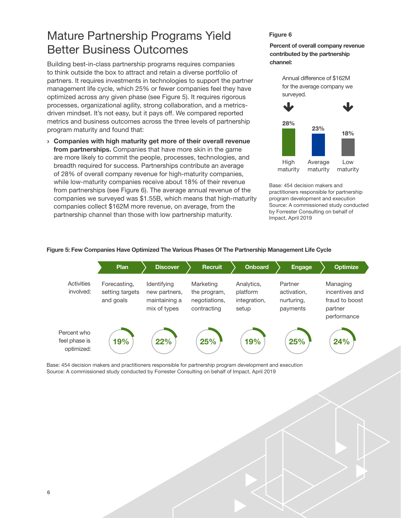### <span id="page-7-0"></span>Mature Partnership Programs Yield Better Business Outcomes

Building best-in-class partnership programs requires companies to think outside the box to attract and retain a diverse portfolio of partners. It requires investments in technologies to support the partner management life cycle, which 25% or fewer companies feel they have optimized across any given phase (see Figure 5). It requires rigorous processes, organizational agility, strong collaboration, and a metricsdriven mindset. It's not easy, but it pays off. We compared reported metrics and business outcomes across the three levels of partnership program maturity and found that:

› Companies with high maturity get more of their overall revenue from partnerships. Companies that have more skin in the game are more likely to commit the people, processes, technologies, and breadth required for success. Partnerships contribute an average of 28% of overall company revenue for high-maturity companies, while low-maturity companies receive about 18% of their revenue from partnerships (see Figure 6). The average annual revenue of the companies we surveyed was \$1.55B, which means that high-maturity companies collect \$162M more revenue, on average, from the partnership channel than those with low partnership maturity.

#### Figure 6

Percent of overall company revenue contributed by the partnership channel:

> Annual difference of \$162M for the average company we surveyed.



Base: 454 decision makers and practitioners responsible for partnership program development and execution Source: A commissioned study conducted by Forrester Consulting on behalf of Impact, April 2019



#### Figure 5: Few Companies Have Optimized The Various Phases Of The Partnership Management Life Cycle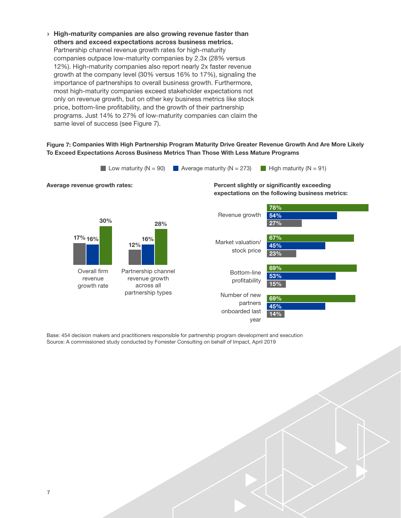› High-maturity companies are also growing revenue faster than others and exceed expectations across business metrics. Partnership channel revenue growth rates for high-maturity companies outpace low-maturity companies by 2.3x (28% versus 12%). High-maturity companies also report nearly 2x faster revenue growth at the company level (30% versus 16% to 17%), signaling the importance of partnerships to overall business growth. Furthermore, most high-maturity companies exceed stakeholder expectations not only on revenue growth, but on other key business metrics like stock price, bottom-line profitability, and the growth of their partnership programs. Just 14% to 27% of low-maturity companies can claim the same level of success (see Figure 7).

#### Figure 7: Companies With High Partnership Program Maturity Drive Greater Revenue Growth And Are More Likely To Exceed Expectations Across Business Metrics Than Those With Less Mature Programs

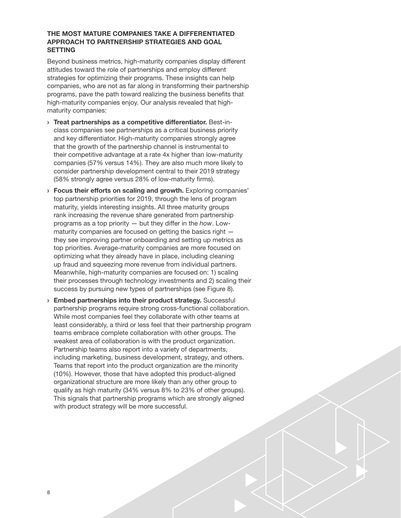#### THE MOST MATURE COMPANIES TAKE A DIFFERENTIATED APPROACH TO PARTNERSHIP STRATEGIES AND GOAL SETTING

Beyond business metrics, high-maturity companies display different attitudes toward the role of partnerships and employ different strategies for optimizing their programs. These insights can help companies, who are not as far along in transforming their partnership programs, pave the path toward realizing the business benefits that high-maturity companies enjoy. Our analysis revealed that highmaturity companies:

- › Treat partnerships as a competitive differentiator. Best-inclass companies see partnerships as a critical business priority and key differentiator. High-maturity companies strongly agree that the growth of the partnership channel is instrumental to their competitive advantage at a rate 4x higher than low-maturity companies (57% versus 14%). They are also much more likely to consider partnership development central to their 2019 strategy (58% strongly agree versus 28% of low-maturity firms).
- › Focus their efforts on scaling and growth. Exploring companies' top partnership priorities for 2019, through the lens of program maturity, yields interesting insights. All three maturity groups rank increasing the revenue share generated from partnership programs as a top priority — but they differ in the *how*. Lowmaturity companies are focused on getting the basics right  $$ they see improving partner onboarding and setting up metrics as top priorities. Average-maturity companies are more focused on optimizing what they already have in place, including cleaning up fraud and squeezing more revenue from individual partners. Meanwhile, high-maturity companies are focused on: 1) scaling their processes through technology investments and 2) scaling their success by pursuing new types of partnerships (see Figure 8).
- › Embed partnerships into their product strategy. Successful partnership programs require strong cross-functional collaboration. While most companies feel they collaborate with other teams at least considerably, a third or less feel that their partnership program teams embrace complete collaboration with other groups. The weakest area of collaboration is with the product organization. Partnership teams also report into a variety of departments, including marketing, business development, strategy, and others. Teams that report into the product organization are the minority (10%). However, those that have adopted this product-aligned organizational structure are more likely than any other group to qualify as high maturity (34% versus 8% to 23% of other groups). This signals that partnership programs which are strongly aligned with product strategy will be more successful.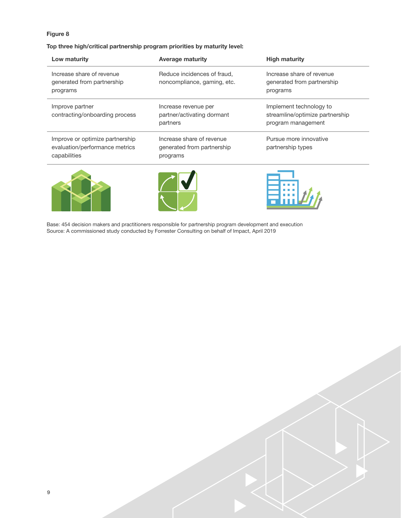#### Figure 8

#### Top three high/critical partnership program priorities by maturity level:

| Low maturity                                                                      | <b>Average maturity</b>                                             | <b>High maturity</b>                                                             |  |
|-----------------------------------------------------------------------------------|---------------------------------------------------------------------|----------------------------------------------------------------------------------|--|
| Increase share of revenue<br>generated from partnership<br>programs               | Reduce incidences of fraud,<br>noncompliance, gaming, etc.          | Increase share of revenue<br>generated from partnership<br>programs              |  |
| Improve partner<br>contracting/onboarding process                                 | Increase revenue per<br>partner/activating dormant<br>partners      | Implement technology to<br>streamline/optimize partnership<br>program management |  |
| Improve or optimize partnership<br>evaluation/performance metrics<br>capabilities | Increase share of revenue<br>generated from partnership<br>programs | Pursue more innovative<br>partnership types                                      |  |





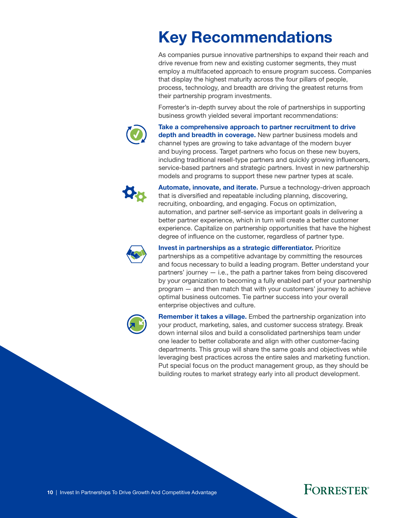# <span id="page-11-0"></span>Key Recommendations

As companies pursue innovative partnerships to expand their reach and drive revenue from new and existing customer segments, they must employ a multifaceted approach to ensure program success. Companies that display the highest maturity across the four pillars of people, process, technology, and breadth are driving the greatest returns from their partnership program investments.

Forrester's in-depth survey about the role of partnerships in supporting business growth yielded several important recommendations:



Take a comprehensive approach to partner recruitment to drive depth and breadth in coverage. New partner business models and channel types are growing to take advantage of the modern buyer and buying process. Target partners who focus on these new buyers, including traditional resell-type partners and quickly growing influencers, service-based partners and strategic partners. Invest in new partnership models and programs to support these new partner types at scale.



Automate, innovate, and iterate. Pursue a technology-driven approach that is diversified and repeatable including planning, discovering, recruiting, onboarding, and engaging. Focus on optimization, automation, and partner self-service as important goals in delivering a better partner experience, which in turn will create a better customer experience. Capitalize on partnership opportunities that have the highest degree of influence on the customer, regardless of partner type.



Invest in partnerships as a strategic differentiator. Prioritize partnerships as a competitive advantage by committing the resources and focus necessary to build a leading program. Better understand your partners' journey — i.e., the path a partner takes from being discovered by your organization to becoming a fully enabled part of your partnership program — and then match that with your customers' journey to achieve optimal business outcomes. Tie partner success into your overall enterprise objectives and culture.



Remember it takes a village. Embed the partnership organization into your product, marketing, sales, and customer success strategy. Break down internal silos and build a consolidated partnerships team under one leader to better collaborate and align with other customer-facing departments. This group will share the same goals and objectives while leveraging best practices across the entire sales and marketing function. Put special focus on the product management group, as they should be building routes to market strategy early into all product development.

### **FORRESTER**®

10 | Invest In Partnerships To Drive Growth And Competitive Advantage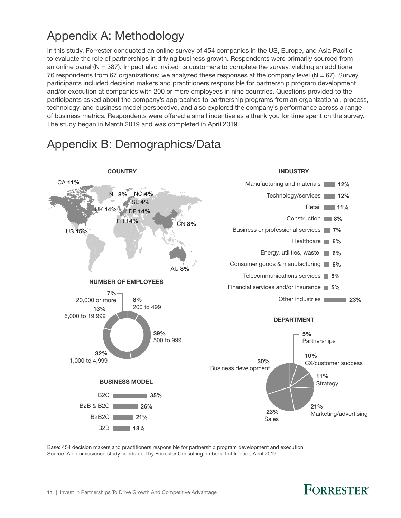### <span id="page-12-0"></span>Appendix A: Methodology

In this study, Forrester conducted an online survey of 454 companies in the US, Europe, and Asia Pacific to evaluate the role of partnerships in driving business growth. Respondents were primarily sourced from an online panel ( $N = 387$ ). Impact also invited its customers to complete the survey, yielding an additional 76 respondents from 67 organizations; we analyzed these responses at the company level ( $N = 67$ ). Survey participants included decision makers and practitioners responsible for partnership program development and/or execution at companies with 200 or more employees in nine countries. Questions provided to the participants asked about the company's approaches to partnership programs from an organizational, process, technology, and business model perspective, and also explored the company's performance across a range of business metrics. Respondents were offered a small incentive as a thank you for time spent on the survey. The study began in March 2019 and was completed in April 2019.

### Appendix B: Demographics/Data



Base: 454 decision makers and practitioners responsible for partnership program development and execution Source: A commissioned study conducted by Forrester Consulting on behalf of Impact, April 2019

### **FORRESTER**<sup>®</sup>